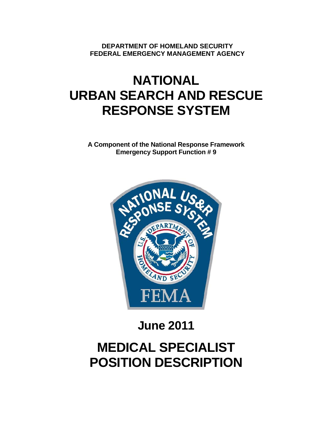**DEPARTMENT OF HOMELAND SECURITY FEDERAL EMERGENCY MANAGEMENT AGENCY**

# **NATIONAL URBAN SEARCH AND RESCUE RESPONSE SYSTEM**

**A Component of the National Response Framework Emergency Support Function # 9**



### **June 2011**

## **MEDICAL SPECIALIST POSITION DESCRIPTION**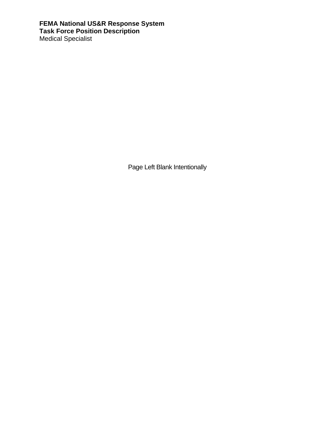#### **FEMA National US&R Response System Task Force Position Description** Medical Specialist

Page Left Blank Intentionally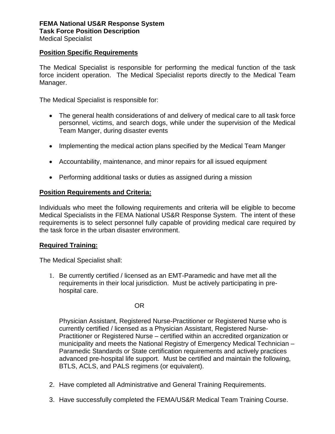#### **Position Specific Requirements**

The Medical Specialist is responsible for performing the medical function of the task force incident operation. The Medical Specialist reports directly to the Medical Team Manager.

The Medical Specialist is responsible for:

- The general health considerations of and delivery of medical care to all task force personnel, victims, and search dogs, while under the supervision of the Medical Team Manger, during disaster events
- Implementing the medical action plans specified by the Medical Team Manger
- Accountability, maintenance, and minor repairs for all issued equipment
- Performing additional tasks or duties as assigned during a mission

#### **Position Requirements and Criteria:**

Individuals who meet the following requirements and criteria will be eligible to become Medical Specialists in the FEMA National US&R Response System. The intent of these requirements is to select personnel fully capable of providing medical care required by the task force in the urban disaster environment.

#### **Required Training:**

The Medical Specialist shall:

1. Be currently certified / licensed as an EMT-Paramedic and have met all the requirements in their local jurisdiction. Must be actively participating in prehospital care.

#### **OR** Service Contract on the Contract of the Contract of the Contract of the Contract of the Contract of the Con

Physician Assistant, Registered Nurse-Practitioner or Registered Nurse who is currently certified / licensed as a Physician Assistant, Registered Nurse-Practitioner or Registered Nurse – certified within an accredited organization or municipality and meets the National Registry of Emergency Medical Technician – Paramedic Standards or State certification requirements and actively practices advanced pre-hospital life support. Must be certified and maintain the following, BTLS, ACLS, and PALS regimens (or equivalent).

- 2. Have completed all Administrative and General Training Requirements.
- 3. Have successfully completed the FEMA/US&R Medical Team Training Course.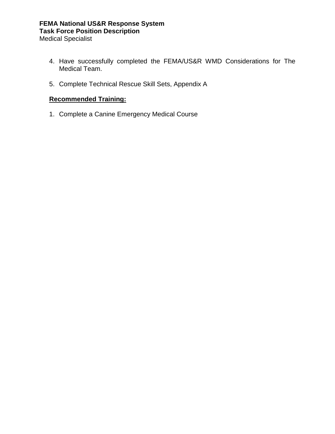- 4. Have successfully completed the FEMA/US&R WMD Considerations for The Medical Team.
- 5. Complete Technical Rescue Skill Sets, Appendix A

#### **Recommended Training:**

1. Complete a Canine Emergency Medical Course